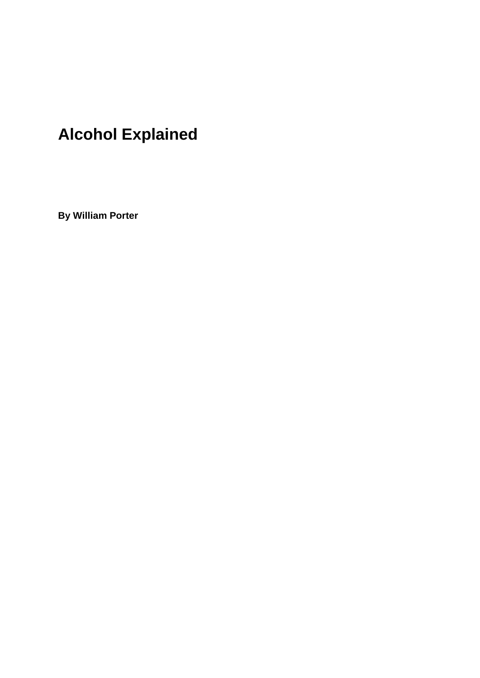# **Alcohol Explained**

**By William Porter**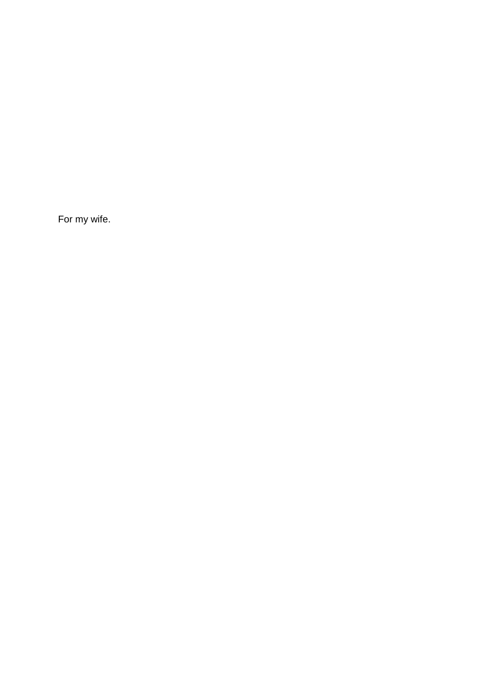For my wife.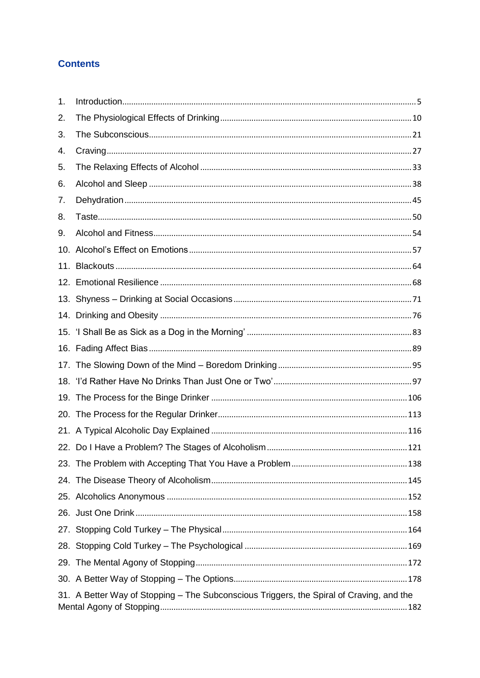## **Contents**

| 1. |                                                                                          |
|----|------------------------------------------------------------------------------------------|
| 2. |                                                                                          |
| 3. |                                                                                          |
| 4. |                                                                                          |
| 5. |                                                                                          |
| 6. |                                                                                          |
| 7. |                                                                                          |
| 8. |                                                                                          |
| 9. |                                                                                          |
|    |                                                                                          |
|    |                                                                                          |
|    |                                                                                          |
|    |                                                                                          |
|    |                                                                                          |
|    |                                                                                          |
|    |                                                                                          |
|    |                                                                                          |
|    |                                                                                          |
|    |                                                                                          |
|    |                                                                                          |
|    |                                                                                          |
|    |                                                                                          |
|    |                                                                                          |
|    |                                                                                          |
|    |                                                                                          |
|    |                                                                                          |
|    |                                                                                          |
|    |                                                                                          |
|    |                                                                                          |
|    |                                                                                          |
|    | 31. A Better Way of Stopping - The Subconscious Triggers, the Spiral of Craving, and the |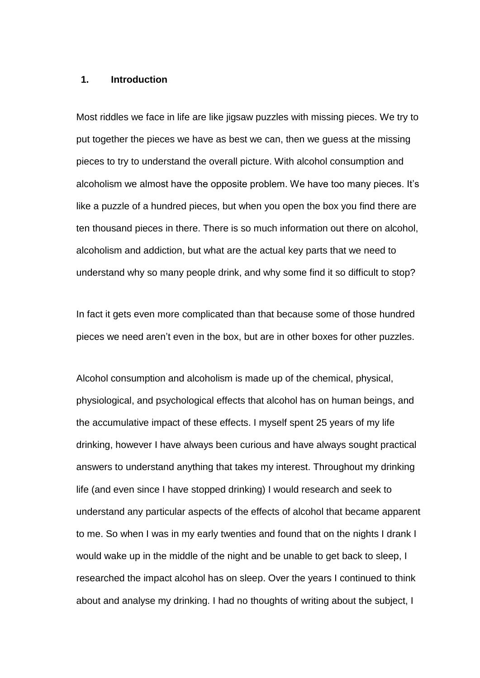#### <span id="page-4-0"></span>**1. Introduction**

Most riddles we face in life are like jigsaw puzzles with missing pieces. We try to put together the pieces we have as best we can, then we guess at the missing pieces to try to understand the overall picture. With alcohol consumption and alcoholism we almost have the opposite problem. We have too many pieces. It's like a puzzle of a hundred pieces, but when you open the box you find there are ten thousand pieces in there. There is so much information out there on alcohol, alcoholism and addiction, but what are the actual key parts that we need to understand why so many people drink, and why some find it so difficult to stop?

In fact it gets even more complicated than that because some of those hundred pieces we need aren't even in the box, but are in other boxes for other puzzles.

Alcohol consumption and alcoholism is made up of the chemical, physical, physiological, and psychological effects that alcohol has on human beings, and the accumulative impact of these effects. I myself spent 25 years of my life drinking, however I have always been curious and have always sought practical answers to understand anything that takes my interest. Throughout my drinking life (and even since I have stopped drinking) I would research and seek to understand any particular aspects of the effects of alcohol that became apparent to me. So when I was in my early twenties and found that on the nights I drank I would wake up in the middle of the night and be unable to get back to sleep, I researched the impact alcohol has on sleep. Over the years I continued to think about and analyse my drinking. I had no thoughts of writing about the subject, I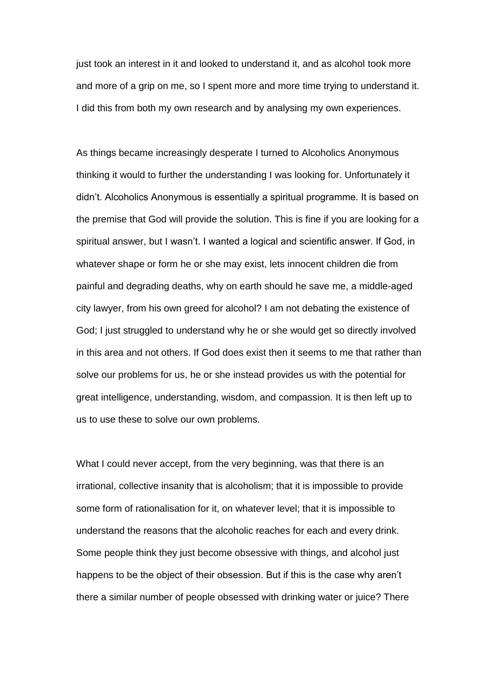just took an interest in it and looked to understand it, and as alcohol took more and more of a grip on me, so I spent more and more time trying to understand it. I did this from both my own research and by analysing my own experiences.

As things became increasingly desperate I turned to Alcoholics Anonymous thinking it would to further the understanding I was looking for. Unfortunately it didn't. Alcoholics Anonymous is essentially a spiritual programme. It is based on the premise that God will provide the solution. This is fine if you are looking for a spiritual answer, but I wasn't. I wanted a logical and scientific answer. If God, in whatever shape or form he or she may exist, lets innocent children die from painful and degrading deaths, why on earth should he save me, a middle-aged city lawyer, from his own greed for alcohol? I am not debating the existence of God; I just struggled to understand why he or she would get so directly involved in this area and not others. If God does exist then it seems to me that rather than solve our problems for us, he or she instead provides us with the potential for great intelligence, understanding, wisdom, and compassion. It is then left up to us to use these to solve our own problems.

What I could never accept, from the very beginning, was that there is an irrational, collective insanity that is alcoholism; that it is impossible to provide some form of rationalisation for it, on whatever level; that it is impossible to understand the reasons that the alcoholic reaches for each and every drink. Some people think they just become obsessive with things, and alcohol just happens to be the object of their obsession. But if this is the case why aren't there a similar number of people obsessed with drinking water or juice? There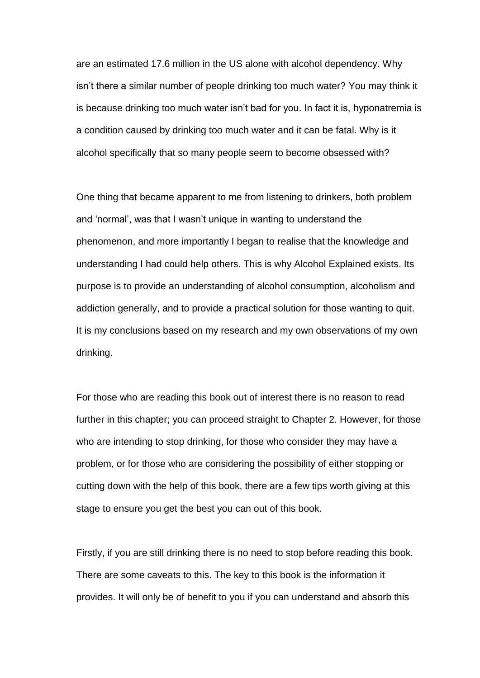are an estimated 17.6 million in the US alone with alcohol dependency. Why isn't there a similar number of people drinking too much water? You may think it is because drinking too much water isn't bad for you. In fact it is, hyponatremia is a condition caused by drinking too much water and it can be fatal. Why is it alcohol specifically that so many people seem to become obsessed with?

One thing that became apparent to me from listening to drinkers, both problem and 'normal', was that I wasn't unique in wanting to understand the phenomenon, and more importantly I began to realise that the knowledge and understanding I had could help others. This is why Alcohol Explained exists. Its purpose is to provide an understanding of alcohol consumption, alcoholism and addiction generally, and to provide a practical solution for those wanting to quit. It is my conclusions based on my research and my own observations of my own drinking.

For those who are reading this book out of interest there is no reason to read further in this chapter; you can proceed straight to Chapter 2. However, for those who are intending to stop drinking, for those who consider they may have a problem, or for those who are considering the possibility of either stopping or cutting down with the help of this book, there are a few tips worth giving at this stage to ensure you get the best you can out of this book.

Firstly, if you are still drinking there is no need to stop before reading this book. There are some caveats to this. The key to this book is the information it provides. It will only be of benefit to you if you can understand and absorb this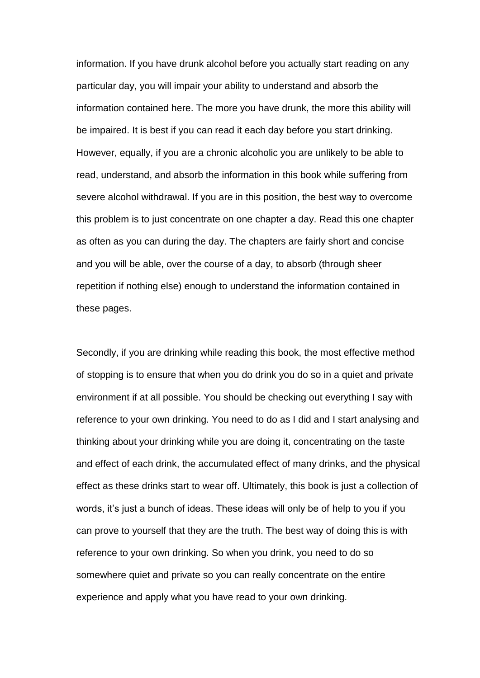information. If you have drunk alcohol before you actually start reading on any particular day, you will impair your ability to understand and absorb the information contained here. The more you have drunk, the more this ability will be impaired. It is best if you can read it each day before you start drinking. However, equally, if you are a chronic alcoholic you are unlikely to be able to read, understand, and absorb the information in this book while suffering from severe alcohol withdrawal. If you are in this position, the best way to overcome this problem is to just concentrate on one chapter a day. Read this one chapter as often as you can during the day. The chapters are fairly short and concise and you will be able, over the course of a day, to absorb (through sheer repetition if nothing else) enough to understand the information contained in these pages.

Secondly, if you are drinking while reading this book, the most effective method of stopping is to ensure that when you do drink you do so in a quiet and private environment if at all possible. You should be checking out everything I say with reference to your own drinking. You need to do as I did and I start analysing and thinking about your drinking while you are doing it, concentrating on the taste and effect of each drink, the accumulated effect of many drinks, and the physical effect as these drinks start to wear off. Ultimately, this book is just a collection of words, it's just a bunch of ideas. These ideas will only be of help to you if you can prove to yourself that they are the truth. The best way of doing this is with reference to your own drinking. So when you drink, you need to do so somewhere quiet and private so you can really concentrate on the entire experience and apply what you have read to your own drinking.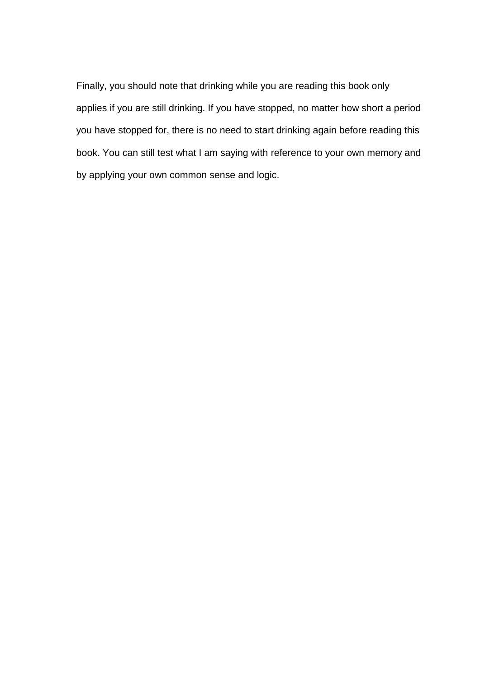Finally, you should note that drinking while you are reading this book only applies if you are still drinking. If you have stopped, no matter how short a period you have stopped for, there is no need to start drinking again before reading this book. You can still test what I am saying with reference to your own memory and by applying your own common sense and logic.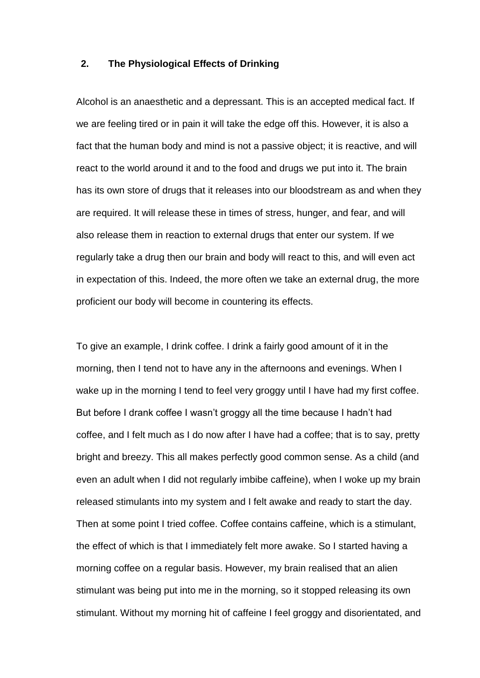#### <span id="page-9-0"></span>**2. The Physiological Effects of Drinking**

Alcohol is an anaesthetic and a depressant. This is an accepted medical fact. If we are feeling tired or in pain it will take the edge off this. However, it is also a fact that the human body and mind is not a passive object; it is reactive, and will react to the world around it and to the food and drugs we put into it. The brain has its own store of drugs that it releases into our bloodstream as and when they are required. It will release these in times of stress, hunger, and fear, and will also release them in reaction to external drugs that enter our system. If we regularly take a drug then our brain and body will react to this, and will even act in expectation of this. Indeed, the more often we take an external drug, the more proficient our body will become in countering its effects.

To give an example, I drink coffee. I drink a fairly good amount of it in the morning, then I tend not to have any in the afternoons and evenings. When I wake up in the morning I tend to feel very groggy until I have had my first coffee. But before I drank coffee I wasn't groggy all the time because I hadn't had coffee, and I felt much as I do now after I have had a coffee; that is to say, pretty bright and breezy. This all makes perfectly good common sense. As a child (and even an adult when I did not regularly imbibe caffeine), when I woke up my brain released stimulants into my system and I felt awake and ready to start the day. Then at some point I tried coffee. Coffee contains caffeine, which is a stimulant, the effect of which is that I immediately felt more awake. So I started having a morning coffee on a regular basis. However, my brain realised that an alien stimulant was being put into me in the morning, so it stopped releasing its own stimulant. Without my morning hit of caffeine I feel groggy and disorientated, and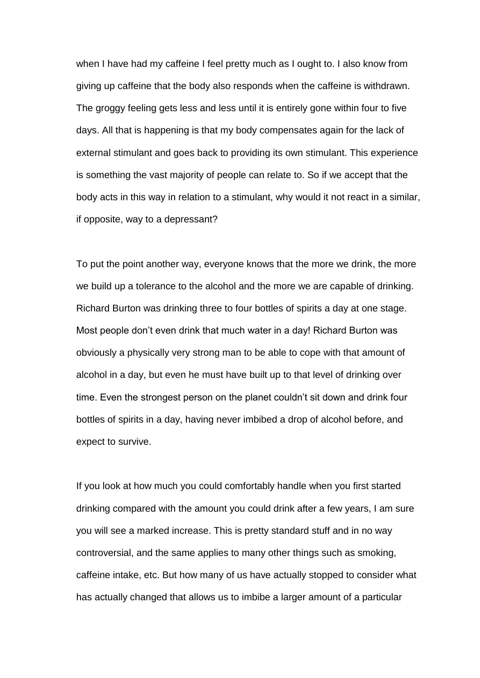when I have had my caffeine I feel pretty much as I ought to. I also know from giving up caffeine that the body also responds when the caffeine is withdrawn. The groggy feeling gets less and less until it is entirely gone within four to five days. All that is happening is that my body compensates again for the lack of external stimulant and goes back to providing its own stimulant. This experience is something the vast majority of people can relate to. So if we accept that the body acts in this way in relation to a stimulant, why would it not react in a similar, if opposite, way to a depressant?

To put the point another way, everyone knows that the more we drink, the more we build up a tolerance to the alcohol and the more we are capable of drinking. Richard Burton was drinking three to four bottles of spirits a day at one stage. Most people don't even drink that much water in a day! Richard Burton was obviously a physically very strong man to be able to cope with that amount of alcohol in a day, but even he must have built up to that level of drinking over time. Even the strongest person on the planet couldn't sit down and drink four bottles of spirits in a day, having never imbibed a drop of alcohol before, and expect to survive.

If you look at how much you could comfortably handle when you first started drinking compared with the amount you could drink after a few years, I am sure you will see a marked increase. This is pretty standard stuff and in no way controversial, and the same applies to many other things such as smoking, caffeine intake, etc. But how many of us have actually stopped to consider what has actually changed that allows us to imbibe a larger amount of a particular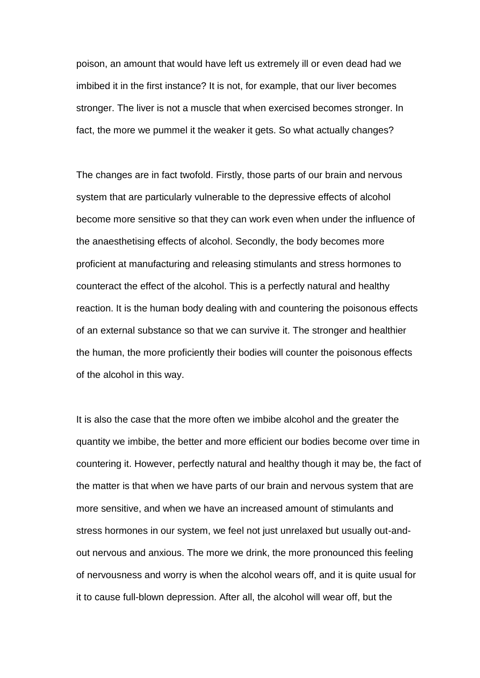poison, an amount that would have left us extremely ill or even dead had we imbibed it in the first instance? It is not, for example, that our liver becomes stronger. The liver is not a muscle that when exercised becomes stronger. In fact, the more we pummel it the weaker it gets. So what actually changes?

The changes are in fact twofold. Firstly, those parts of our brain and nervous system that are particularly vulnerable to the depressive effects of alcohol become more sensitive so that they can work even when under the influence of the anaesthetising effects of alcohol. Secondly, the body becomes more proficient at manufacturing and releasing stimulants and stress hormones to counteract the effect of the alcohol. This is a perfectly natural and healthy reaction. It is the human body dealing with and countering the poisonous effects of an external substance so that we can survive it. The stronger and healthier the human, the more proficiently their bodies will counter the poisonous effects of the alcohol in this way.

It is also the case that the more often we imbibe alcohol and the greater the quantity we imbibe, the better and more efficient our bodies become over time in countering it. However, perfectly natural and healthy though it may be, the fact of the matter is that when we have parts of our brain and nervous system that are more sensitive, and when we have an increased amount of stimulants and stress hormones in our system, we feel not just unrelaxed but usually out-andout nervous and anxious. The more we drink, the more pronounced this feeling of nervousness and worry is when the alcohol wears off, and it is quite usual for it to cause full-blown depression. After all, the alcohol will wear off, but the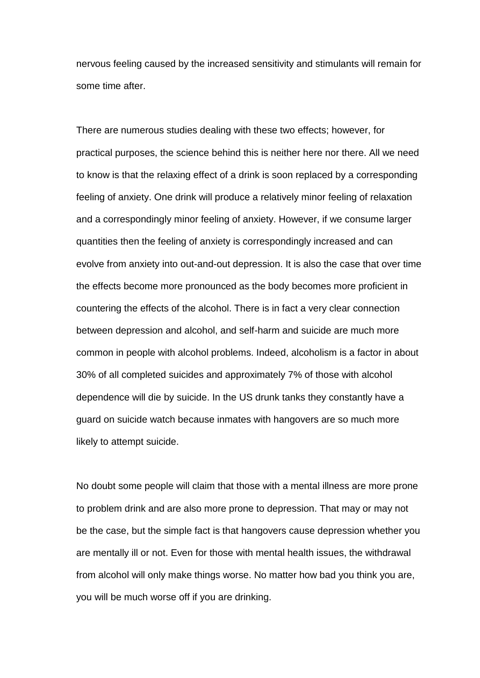nervous feeling caused by the increased sensitivity and stimulants will remain for some time after.

There are numerous studies dealing with these two effects; however, for practical purposes, the science behind this is neither here nor there. All we need to know is that the relaxing effect of a drink is soon replaced by a corresponding feeling of anxiety. One drink will produce a relatively minor feeling of relaxation and a correspondingly minor feeling of anxiety. However, if we consume larger quantities then the feeling of anxiety is correspondingly increased and can evolve from anxiety into out-and-out depression. It is also the case that over time the effects become more pronounced as the body becomes more proficient in countering the effects of the alcohol. There is in fact a very clear connection between depression and alcohol, and self-harm and suicide are much more common in people with alcohol problems. Indeed, alcoholism is a factor in about 30% of all completed suicides and approximately 7% of those with alcohol dependence will die by suicide. In the US drunk tanks they constantly have a guard on suicide watch because inmates with hangovers are so much more likely to attempt suicide.

No doubt some people will claim that those with a mental illness are more prone to problem drink and are also more prone to depression. That may or may not be the case, but the simple fact is that hangovers cause depression whether you are mentally ill or not. Even for those with mental health issues, the withdrawal from alcohol will only make things worse. No matter how bad you think you are, you will be much worse off if you are drinking.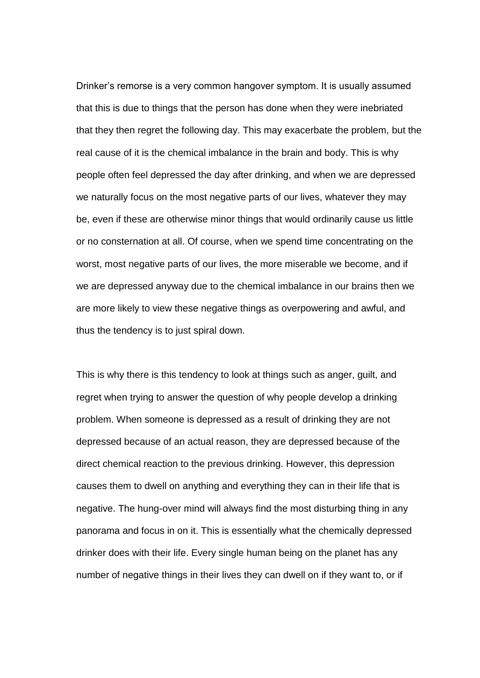Drinker's remorse is a very common hangover symptom. It is usually assumed that this is due to things that the person has done when they were inebriated that they then regret the following day. This may exacerbate the problem, but the real cause of it is the chemical imbalance in the brain and body. This is why people often feel depressed the day after drinking, and when we are depressed we naturally focus on the most negative parts of our lives, whatever they may be, even if these are otherwise minor things that would ordinarily cause us little or no consternation at all. Of course, when we spend time concentrating on the worst, most negative parts of our lives, the more miserable we become, and if we are depressed anyway due to the chemical imbalance in our brains then we are more likely to view these negative things as overpowering and awful, and thus the tendency is to just spiral down.

This is why there is this tendency to look at things such as anger, guilt, and regret when trying to answer the question of why people develop a drinking problem. When someone is depressed as a result of drinking they are not depressed because of an actual reason, they are depressed because of the direct chemical reaction to the previous drinking. However, this depression causes them to dwell on anything and everything they can in their life that is negative. The hung-over mind will always find the most disturbing thing in any panorama and focus in on it. This is essentially what the chemically depressed drinker does with their life. Every single human being on the planet has any number of negative things in their lives they can dwell on if they want to, or if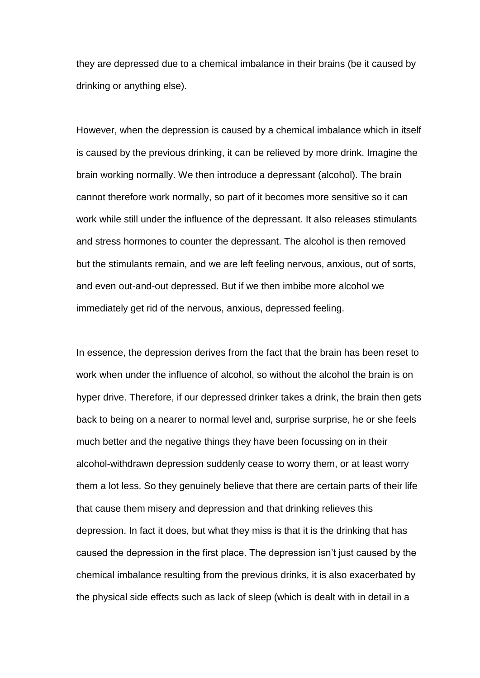they are depressed due to a chemical imbalance in their brains (be it caused by drinking or anything else).

However, when the depression is caused by a chemical imbalance which in itself is caused by the previous drinking, it can be relieved by more drink. Imagine the brain working normally. We then introduce a depressant (alcohol). The brain cannot therefore work normally, so part of it becomes more sensitive so it can work while still under the influence of the depressant. It also releases stimulants and stress hormones to counter the depressant. The alcohol is then removed but the stimulants remain, and we are left feeling nervous, anxious, out of sorts, and even out-and-out depressed. But if we then imbibe more alcohol we immediately get rid of the nervous, anxious, depressed feeling.

In essence, the depression derives from the fact that the brain has been reset to work when under the influence of alcohol, so without the alcohol the brain is on hyper drive. Therefore, if our depressed drinker takes a drink, the brain then gets back to being on a nearer to normal level and, surprise surprise, he or she feels much better and the negative things they have been focussing on in their alcohol-withdrawn depression suddenly cease to worry them, or at least worry them a lot less. So they genuinely believe that there are certain parts of their life that cause them misery and depression and that drinking relieves this depression. In fact it does, but what they miss is that it is the drinking that has caused the depression in the first place. The depression isn't just caused by the chemical imbalance resulting from the previous drinks, it is also exacerbated by the physical side effects such as lack of sleep (which is dealt with in detail in a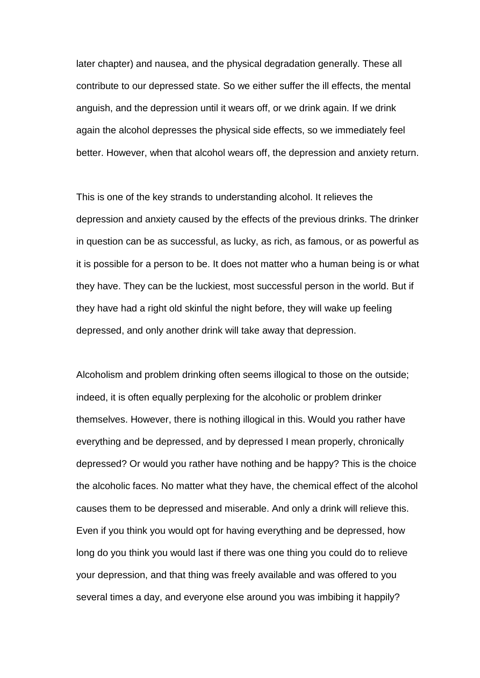later chapter) and nausea, and the physical degradation generally. These all contribute to our depressed state. So we either suffer the ill effects, the mental anguish, and the depression until it wears off, or we drink again. If we drink again the alcohol depresses the physical side effects, so we immediately feel better. However, when that alcohol wears off, the depression and anxiety return.

This is one of the key strands to understanding alcohol. It relieves the depression and anxiety caused by the effects of the previous drinks. The drinker in question can be as successful, as lucky, as rich, as famous, or as powerful as it is possible for a person to be. It does not matter who a human being is or what they have. They can be the luckiest, most successful person in the world. But if they have had a right old skinful the night before, they will wake up feeling depressed, and only another drink will take away that depression.

Alcoholism and problem drinking often seems illogical to those on the outside; indeed, it is often equally perplexing for the alcoholic or problem drinker themselves. However, there is nothing illogical in this. Would you rather have everything and be depressed, and by depressed I mean properly, chronically depressed? Or would you rather have nothing and be happy? This is the choice the alcoholic faces. No matter what they have, the chemical effect of the alcohol causes them to be depressed and miserable. And only a drink will relieve this. Even if you think you would opt for having everything and be depressed, how long do you think you would last if there was one thing you could do to relieve your depression, and that thing was freely available and was offered to you several times a day, and everyone else around you was imbibing it happily?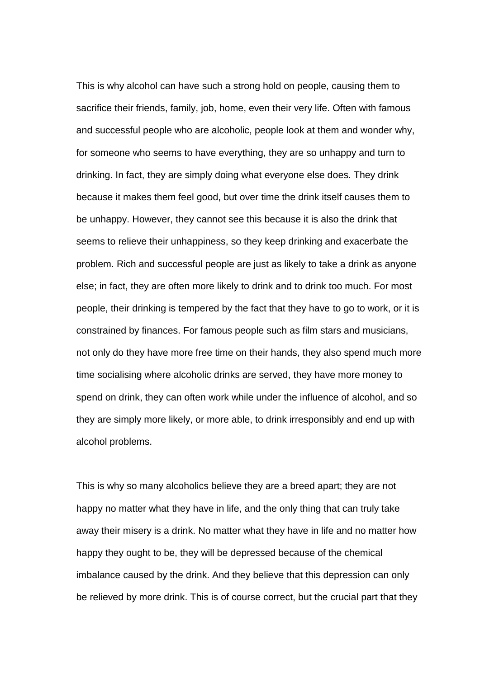This is why alcohol can have such a strong hold on people, causing them to sacrifice their friends, family, job, home, even their very life. Often with famous and successful people who are alcoholic, people look at them and wonder why, for someone who seems to have everything, they are so unhappy and turn to drinking. In fact, they are simply doing what everyone else does. They drink because it makes them feel good, but over time the drink itself causes them to be unhappy. However, they cannot see this because it is also the drink that seems to relieve their unhappiness, so they keep drinking and exacerbate the problem. Rich and successful people are just as likely to take a drink as anyone else; in fact, they are often more likely to drink and to drink too much. For most people, their drinking is tempered by the fact that they have to go to work, or it is constrained by finances. For famous people such as film stars and musicians, not only do they have more free time on their hands, they also spend much more time socialising where alcoholic drinks are served, they have more money to spend on drink, they can often work while under the influence of alcohol, and so they are simply more likely, or more able, to drink irresponsibly and end up with alcohol problems.

This is why so many alcoholics believe they are a breed apart; they are not happy no matter what they have in life, and the only thing that can truly take away their misery is a drink. No matter what they have in life and no matter how happy they ought to be, they will be depressed because of the chemical imbalance caused by the drink. And they believe that this depression can only be relieved by more drink. This is of course correct, but the crucial part that they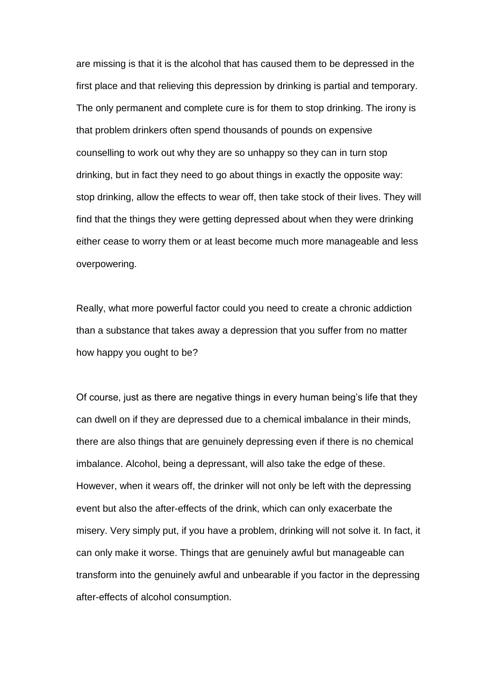are missing is that it is the alcohol that has caused them to be depressed in the first place and that relieving this depression by drinking is partial and temporary. The only permanent and complete cure is for them to stop drinking. The irony is that problem drinkers often spend thousands of pounds on expensive counselling to work out why they are so unhappy so they can in turn stop drinking, but in fact they need to go about things in exactly the opposite way: stop drinking, allow the effects to wear off, then take stock of their lives. They will find that the things they were getting depressed about when they were drinking either cease to worry them or at least become much more manageable and less overpowering.

Really, what more powerful factor could you need to create a chronic addiction than a substance that takes away a depression that you suffer from no matter how happy you ought to be?

Of course, just as there are negative things in every human being's life that they can dwell on if they are depressed due to a chemical imbalance in their minds, there are also things that are genuinely depressing even if there is no chemical imbalance. Alcohol, being a depressant, will also take the edge of these. However, when it wears off, the drinker will not only be left with the depressing event but also the after-effects of the drink, which can only exacerbate the misery. Very simply put, if you have a problem, drinking will not solve it. In fact, it can only make it worse. Things that are genuinely awful but manageable can transform into the genuinely awful and unbearable if you factor in the depressing after-effects of alcohol consumption.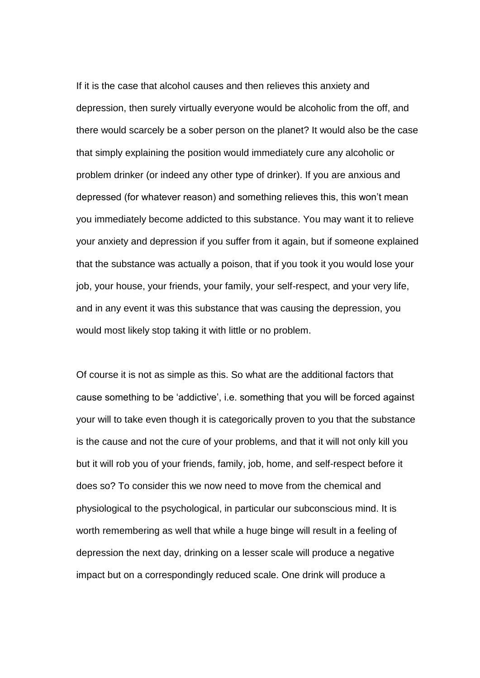If it is the case that alcohol causes and then relieves this anxiety and depression, then surely virtually everyone would be alcoholic from the off, and there would scarcely be a sober person on the planet? It would also be the case that simply explaining the position would immediately cure any alcoholic or problem drinker (or indeed any other type of drinker). If you are anxious and depressed (for whatever reason) and something relieves this, this won't mean you immediately become addicted to this substance. You may want it to relieve your anxiety and depression if you suffer from it again, but if someone explained that the substance was actually a poison, that if you took it you would lose your job, your house, your friends, your family, your self-respect, and your very life, and in any event it was this substance that was causing the depression, you would most likely stop taking it with little or no problem.

Of course it is not as simple as this. So what are the additional factors that cause something to be 'addictive', i.e. something that you will be forced against your will to take even though it is categorically proven to you that the substance is the cause and not the cure of your problems, and that it will not only kill you but it will rob you of your friends, family, job, home, and self-respect before it does so? To consider this we now need to move from the chemical and physiological to the psychological, in particular our subconscious mind. It is worth remembering as well that while a huge binge will result in a feeling of depression the next day, drinking on a lesser scale will produce a negative impact but on a correspondingly reduced scale. One drink will produce a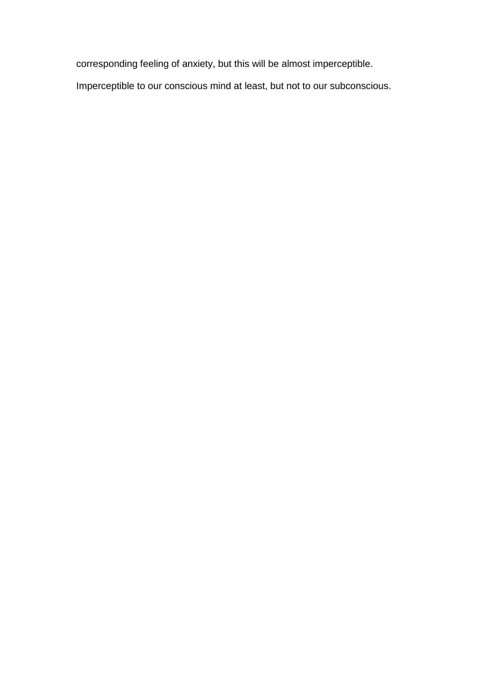corresponding feeling of anxiety, but this will be almost imperceptible.

Imperceptible to our conscious mind at least, but not to our subconscious.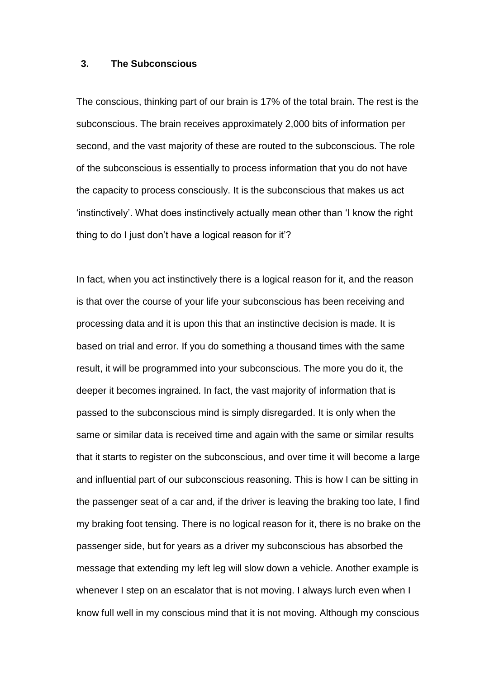#### <span id="page-20-0"></span>**3. The Subconscious**

The conscious, thinking part of our brain is 17% of the total brain. The rest is the subconscious. The brain receives approximately 2,000 bits of information per second, and the vast majority of these are routed to the subconscious. The role of the subconscious is essentially to process information that you do not have the capacity to process consciously. It is the subconscious that makes us act 'instinctively'. What does instinctively actually mean other than 'I know the right thing to do I just don't have a logical reason for it'?

In fact, when you act instinctively there is a logical reason for it, and the reason is that over the course of your life your subconscious has been receiving and processing data and it is upon this that an instinctive decision is made. It is based on trial and error. If you do something a thousand times with the same result, it will be programmed into your subconscious. The more you do it, the deeper it becomes ingrained. In fact, the vast majority of information that is passed to the subconscious mind is simply disregarded. It is only when the same or similar data is received time and again with the same or similar results that it starts to register on the subconscious, and over time it will become a large and influential part of our subconscious reasoning. This is how I can be sitting in the passenger seat of a car and, if the driver is leaving the braking too late, I find my braking foot tensing. There is no logical reason for it, there is no brake on the passenger side, but for years as a driver my subconscious has absorbed the message that extending my left leg will slow down a vehicle. Another example is whenever I step on an escalator that is not moving. I always lurch even when I know full well in my conscious mind that it is not moving. Although my conscious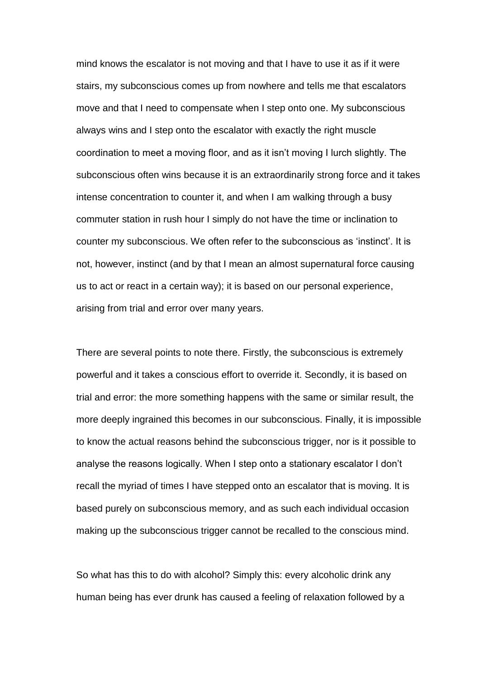mind knows the escalator is not moving and that I have to use it as if it were stairs, my subconscious comes up from nowhere and tells me that escalators move and that I need to compensate when I step onto one. My subconscious always wins and I step onto the escalator with exactly the right muscle coordination to meet a moving floor, and as it isn't moving I lurch slightly. The subconscious often wins because it is an extraordinarily strong force and it takes intense concentration to counter it, and when I am walking through a busy commuter station in rush hour I simply do not have the time or inclination to counter my subconscious. We often refer to the subconscious as 'instinct'. It is not, however, instinct (and by that I mean an almost supernatural force causing us to act or react in a certain way); it is based on our personal experience, arising from trial and error over many years.

There are several points to note there. Firstly, the subconscious is extremely powerful and it takes a conscious effort to override it. Secondly, it is based on trial and error: the more something happens with the same or similar result, the more deeply ingrained this becomes in our subconscious. Finally, it is impossible to know the actual reasons behind the subconscious trigger, nor is it possible to analyse the reasons logically. When I step onto a stationary escalator I don't recall the myriad of times I have stepped onto an escalator that is moving. It is based purely on subconscious memory, and as such each individual occasion making up the subconscious trigger cannot be recalled to the conscious mind.

So what has this to do with alcohol? Simply this: every alcoholic drink any human being has ever drunk has caused a feeling of relaxation followed by a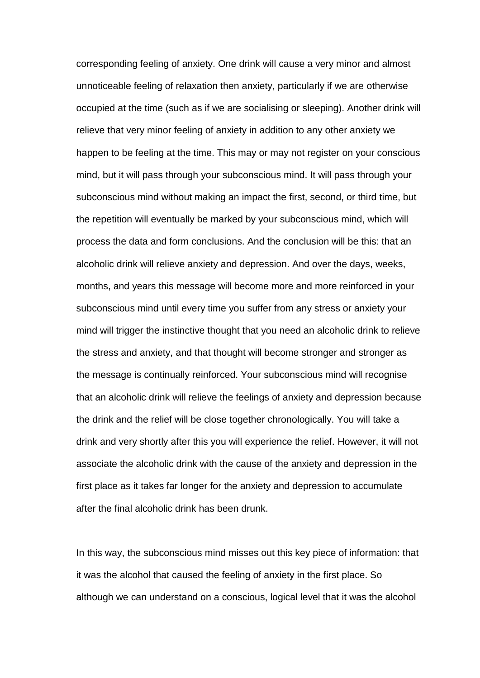corresponding feeling of anxiety. One drink will cause a very minor and almost unnoticeable feeling of relaxation then anxiety, particularly if we are otherwise occupied at the time (such as if we are socialising or sleeping). Another drink will relieve that very minor feeling of anxiety in addition to any other anxiety we happen to be feeling at the time. This may or may not register on your conscious mind, but it will pass through your subconscious mind. It will pass through your subconscious mind without making an impact the first, second, or third time, but the repetition will eventually be marked by your subconscious mind, which will process the data and form conclusions. And the conclusion will be this: that an alcoholic drink will relieve anxiety and depression. And over the days, weeks, months, and years this message will become more and more reinforced in your subconscious mind until every time you suffer from any stress or anxiety your mind will trigger the instinctive thought that you need an alcoholic drink to relieve the stress and anxiety, and that thought will become stronger and stronger as the message is continually reinforced. Your subconscious mind will recognise that an alcoholic drink will relieve the feelings of anxiety and depression because the drink and the relief will be close together chronologically. You will take a drink and very shortly after this you will experience the relief. However, it will not associate the alcoholic drink with the cause of the anxiety and depression in the first place as it takes far longer for the anxiety and depression to accumulate after the final alcoholic drink has been drunk.

In this way, the subconscious mind misses out this key piece of information: that it was the alcohol that caused the feeling of anxiety in the first place. So although we can understand on a conscious, logical level that it was the alcohol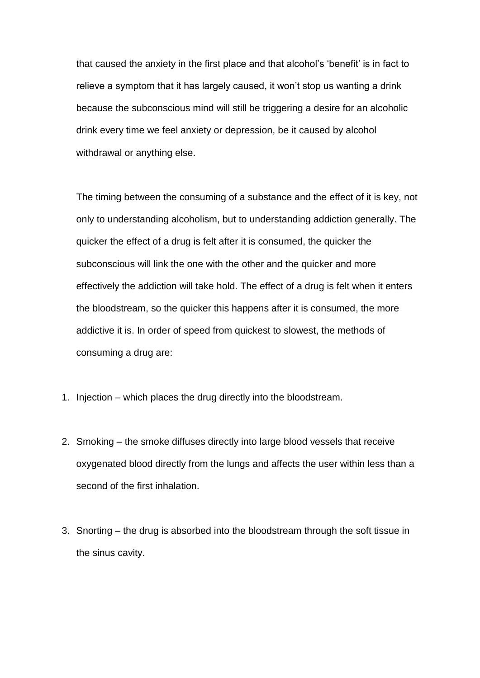that caused the anxiety in the first place and that alcohol's 'benefit' is in fact to relieve a symptom that it has largely caused, it won't stop us wanting a drink because the subconscious mind will still be triggering a desire for an alcoholic drink every time we feel anxiety or depression, be it caused by alcohol withdrawal or anything else.

The timing between the consuming of a substance and the effect of it is key, not only to understanding alcoholism, but to understanding addiction generally. The quicker the effect of a drug is felt after it is consumed, the quicker the subconscious will link the one with the other and the quicker and more effectively the addiction will take hold. The effect of a drug is felt when it enters the bloodstream, so the quicker this happens after it is consumed, the more addictive it is. In order of speed from quickest to slowest, the methods of consuming a drug are:

- 1. Injection which places the drug directly into the bloodstream.
- 2. Smoking the smoke diffuses directly into large blood vessels that receive oxygenated blood directly from the lungs and affects the user within less than a second of the first inhalation.
- 3. Snorting the drug is absorbed into the bloodstream through the soft tissue in the sinus cavity.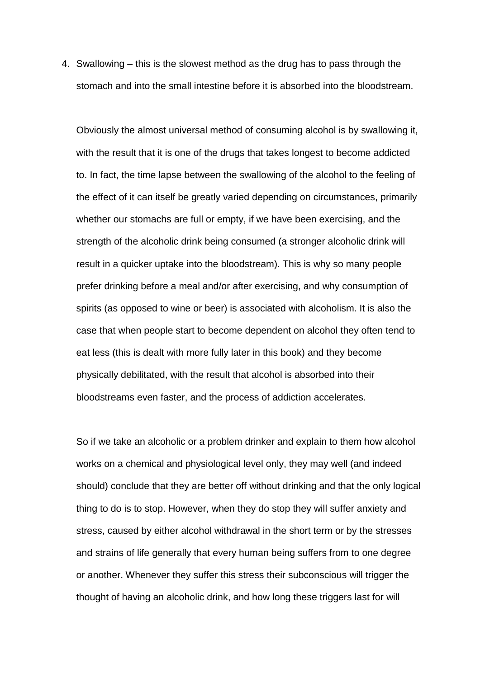4. Swallowing – this is the slowest method as the drug has to pass through the stomach and into the small intestine before it is absorbed into the bloodstream.

Obviously the almost universal method of consuming alcohol is by swallowing it, with the result that it is one of the drugs that takes longest to become addicted to. In fact, the time lapse between the swallowing of the alcohol to the feeling of the effect of it can itself be greatly varied depending on circumstances, primarily whether our stomachs are full or empty, if we have been exercising, and the strength of the alcoholic drink being consumed (a stronger alcoholic drink will result in a quicker uptake into the bloodstream). This is why so many people prefer drinking before a meal and/or after exercising, and why consumption of spirits (as opposed to wine or beer) is associated with alcoholism. It is also the case that when people start to become dependent on alcohol they often tend to eat less (this is dealt with more fully later in this book) and they become physically debilitated, with the result that alcohol is absorbed into their bloodstreams even faster, and the process of addiction accelerates.

So if we take an alcoholic or a problem drinker and explain to them how alcohol works on a chemical and physiological level only, they may well (and indeed should) conclude that they are better off without drinking and that the only logical thing to do is to stop. However, when they do stop they will suffer anxiety and stress, caused by either alcohol withdrawal in the short term or by the stresses and strains of life generally that every human being suffers from to one degree or another. Whenever they suffer this stress their subconscious will trigger the thought of having an alcoholic drink, and how long these triggers last for will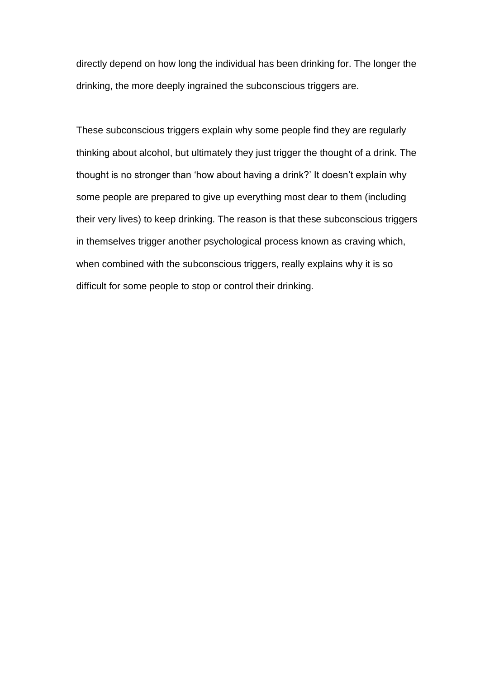directly depend on how long the individual has been drinking for. The longer the drinking, the more deeply ingrained the subconscious triggers are.

These subconscious triggers explain why some people find they are regularly thinking about alcohol, but ultimately they just trigger the thought of a drink. The thought is no stronger than 'how about having a drink?' It doesn't explain why some people are prepared to give up everything most dear to them (including their very lives) to keep drinking. The reason is that these subconscious triggers in themselves trigger another psychological process known as craving which, when combined with the subconscious triggers, really explains why it is so difficult for some people to stop or control their drinking.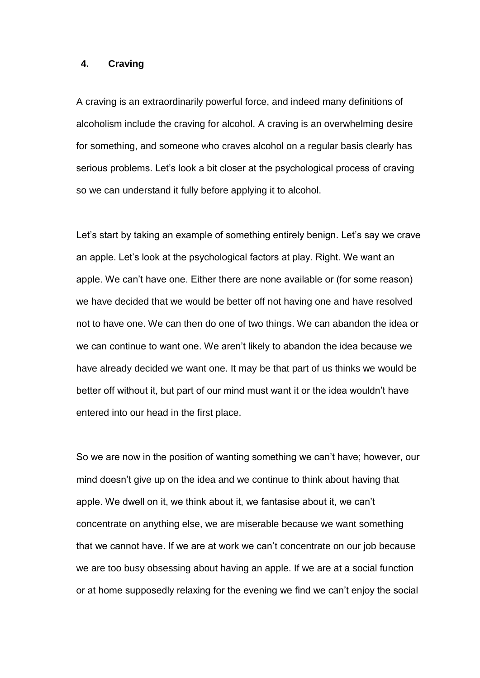#### <span id="page-26-0"></span>**4. Craving**

A craving is an extraordinarily powerful force, and indeed many definitions of alcoholism include the craving for alcohol. A craving is an overwhelming desire for something, and someone who craves alcohol on a regular basis clearly has serious problems. Let's look a bit closer at the psychological process of craving so we can understand it fully before applying it to alcohol.

Let's start by taking an example of something entirely benign. Let's say we crave an apple. Let's look at the psychological factors at play. Right. We want an apple. We can't have one. Either there are none available or (for some reason) we have decided that we would be better off not having one and have resolved not to have one. We can then do one of two things. We can abandon the idea or we can continue to want one. We aren't likely to abandon the idea because we have already decided we want one. It may be that part of us thinks we would be better off without it, but part of our mind must want it or the idea wouldn't have entered into our head in the first place.

So we are now in the position of wanting something we can't have; however, our mind doesn't give up on the idea and we continue to think about having that apple. We dwell on it, we think about it, we fantasise about it, we can't concentrate on anything else, we are miserable because we want something that we cannot have. If we are at work we can't concentrate on our job because we are too busy obsessing about having an apple. If we are at a social function or at home supposedly relaxing for the evening we find we can't enjoy the social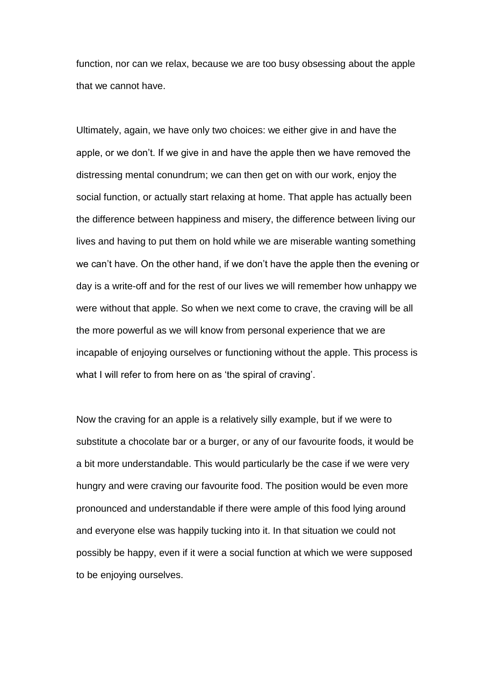function, nor can we relax, because we are too busy obsessing about the apple that we cannot have.

Ultimately, again, we have only two choices: we either give in and have the apple, or we don't. If we give in and have the apple then we have removed the distressing mental conundrum; we can then get on with our work, enjoy the social function, or actually start relaxing at home. That apple has actually been the difference between happiness and misery, the difference between living our lives and having to put them on hold while we are miserable wanting something we can't have. On the other hand, if we don't have the apple then the evening or day is a write-off and for the rest of our lives we will remember how unhappy we were without that apple. So when we next come to crave, the craving will be all the more powerful as we will know from personal experience that we are incapable of enjoying ourselves or functioning without the apple. This process is what I will refer to from here on as 'the spiral of craving'.

Now the craving for an apple is a relatively silly example, but if we were to substitute a chocolate bar or a burger, or any of our favourite foods, it would be a bit more understandable. This would particularly be the case if we were very hungry and were craving our favourite food. The position would be even more pronounced and understandable if there were ample of this food lying around and everyone else was happily tucking into it. In that situation we could not possibly be happy, even if it were a social function at which we were supposed to be enjoying ourselves.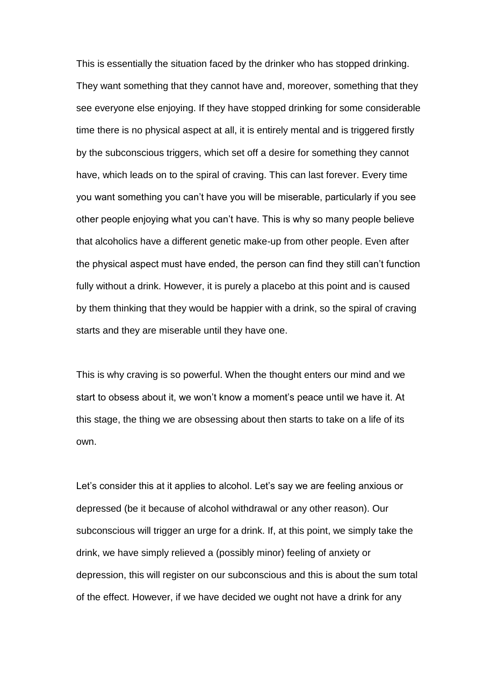This is essentially the situation faced by the drinker who has stopped drinking. They want something that they cannot have and, moreover, something that they see everyone else enjoying. If they have stopped drinking for some considerable time there is no physical aspect at all, it is entirely mental and is triggered firstly by the subconscious triggers, which set off a desire for something they cannot have, which leads on to the spiral of craving. This can last forever. Every time you want something you can't have you will be miserable, particularly if you see other people enjoying what you can't have. This is why so many people believe that alcoholics have a different genetic make-up from other people. Even after the physical aspect must have ended, the person can find they still can't function fully without a drink. However, it is purely a placebo at this point and is caused by them thinking that they would be happier with a drink, so the spiral of craving starts and they are miserable until they have one.

This is why craving is so powerful. When the thought enters our mind and we start to obsess about it, we won't know a moment's peace until we have it. At this stage, the thing we are obsessing about then starts to take on a life of its own.

Let's consider this at it applies to alcohol. Let's say we are feeling anxious or depressed (be it because of alcohol withdrawal or any other reason). Our subconscious will trigger an urge for a drink. If, at this point, we simply take the drink, we have simply relieved a (possibly minor) feeling of anxiety or depression, this will register on our subconscious and this is about the sum total of the effect. However, if we have decided we ought not have a drink for any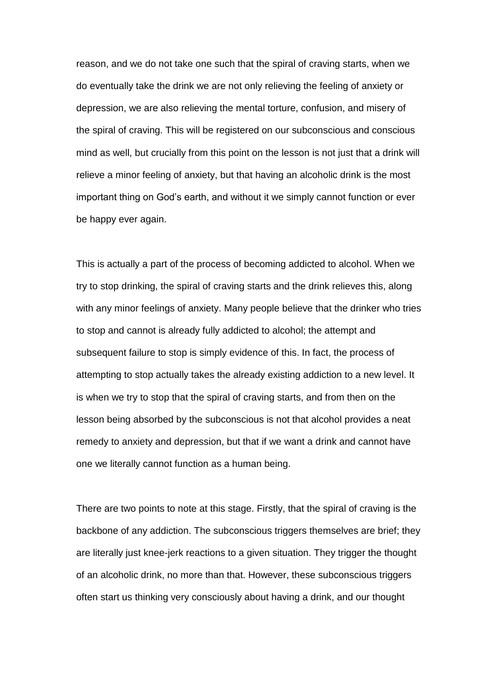reason, and we do not take one such that the spiral of craving starts, when we do eventually take the drink we are not only relieving the feeling of anxiety or depression, we are also relieving the mental torture, confusion, and misery of the spiral of craving. This will be registered on our subconscious and conscious mind as well, but crucially from this point on the lesson is not just that a drink will relieve a minor feeling of anxiety, but that having an alcoholic drink is the most important thing on God's earth, and without it we simply cannot function or ever be happy ever again.

This is actually a part of the process of becoming addicted to alcohol. When we try to stop drinking, the spiral of craving starts and the drink relieves this, along with any minor feelings of anxiety. Many people believe that the drinker who tries to stop and cannot is already fully addicted to alcohol; the attempt and subsequent failure to stop is simply evidence of this. In fact, the process of attempting to stop actually takes the already existing addiction to a new level. It is when we try to stop that the spiral of craving starts, and from then on the lesson being absorbed by the subconscious is not that alcohol provides a neat remedy to anxiety and depression, but that if we want a drink and cannot have one we literally cannot function as a human being.

There are two points to note at this stage. Firstly, that the spiral of craving is the backbone of any addiction. The subconscious triggers themselves are brief; they are literally just knee-jerk reactions to a given situation. They trigger the thought of an alcoholic drink, no more than that. However, these subconscious triggers often start us thinking very consciously about having a drink, and our thought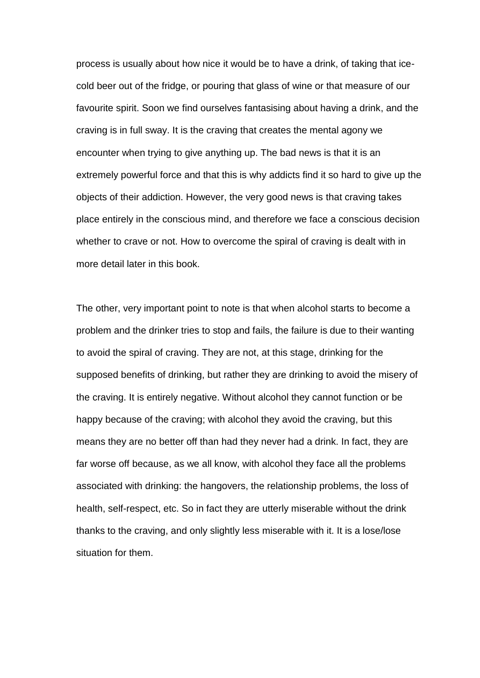process is usually about how nice it would be to have a drink, of taking that icecold beer out of the fridge, or pouring that glass of wine or that measure of our favourite spirit. Soon we find ourselves fantasising about having a drink, and the craving is in full sway. It is the craving that creates the mental agony we encounter when trying to give anything up. The bad news is that it is an extremely powerful force and that this is why addicts find it so hard to give up the objects of their addiction. However, the very good news is that craving takes place entirely in the conscious mind, and therefore we face a conscious decision whether to crave or not. How to overcome the spiral of craving is dealt with in more detail later in this book.

The other, very important point to note is that when alcohol starts to become a problem and the drinker tries to stop and fails, the failure is due to their wanting to avoid the spiral of craving. They are not, at this stage, drinking for the supposed benefits of drinking, but rather they are drinking to avoid the misery of the craving. It is entirely negative. Without alcohol they cannot function or be happy because of the craving; with alcohol they avoid the craving, but this means they are no better off than had they never had a drink. In fact, they are far worse off because, as we all know, with alcohol they face all the problems associated with drinking: the hangovers, the relationship problems, the loss of health, self-respect, etc. So in fact they are utterly miserable without the drink thanks to the craving, and only slightly less miserable with it. It is a lose/lose situation for them.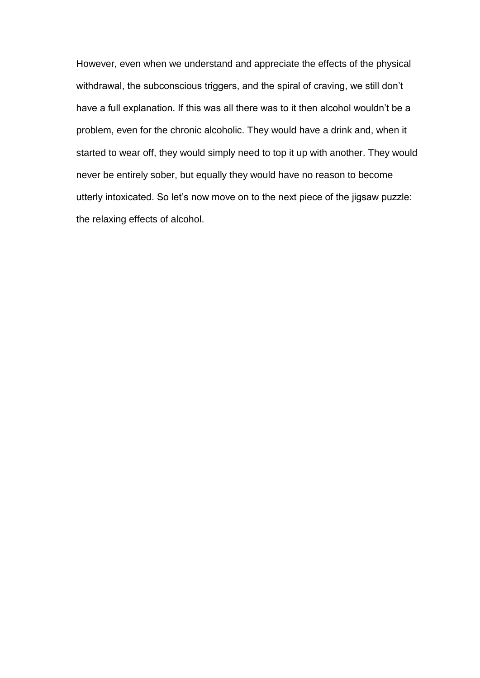However, even when we understand and appreciate the effects of the physical withdrawal, the subconscious triggers, and the spiral of craving, we still don't have a full explanation. If this was all there was to it then alcohol wouldn't be a problem, even for the chronic alcoholic. They would have a drink and, when it started to wear off, they would simply need to top it up with another. They would never be entirely sober, but equally they would have no reason to become utterly intoxicated. So let's now move on to the next piece of the jigsaw puzzle: the relaxing effects of alcohol.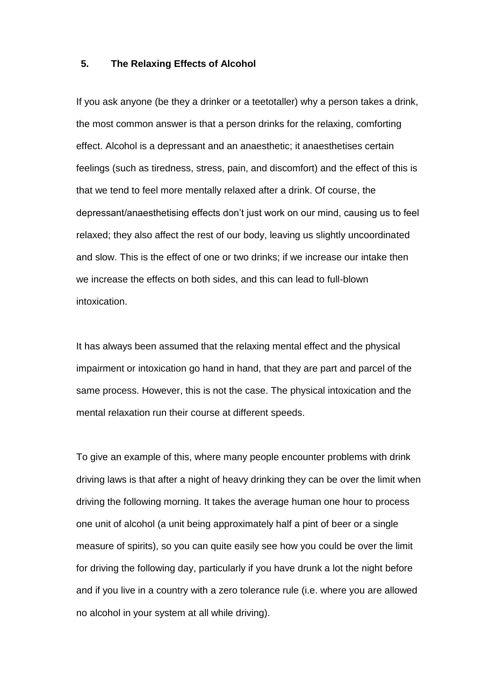### <span id="page-32-0"></span>**5. The Relaxing Effects of Alcohol**

If you ask anyone (be they a drinker or a teetotaller) why a person takes a drink, the most common answer is that a person drinks for the relaxing, comforting effect. Alcohol is a depressant and an anaesthetic; it anaesthetises certain feelings (such as tiredness, stress, pain, and discomfort) and the effect of this is that we tend to feel more mentally relaxed after a drink. Of course, the depressant/anaesthetising effects don't just work on our mind, causing us to feel relaxed; they also affect the rest of our body, leaving us slightly uncoordinated and slow. This is the effect of one or two drinks; if we increase our intake then we increase the effects on both sides, and this can lead to full-blown intoxication.

It has always been assumed that the relaxing mental effect and the physical impairment or intoxication go hand in hand, that they are part and parcel of the same process. However, this is not the case. The physical intoxication and the mental relaxation run their course at different speeds.

To give an example of this, where many people encounter problems with drink driving laws is that after a night of heavy drinking they can be over the limit when driving the following morning. It takes the average human one hour to process one unit of alcohol (a unit being approximately half a pint of beer or a single measure of spirits), so you can quite easily see how you could be over the limit for driving the following day, particularly if you have drunk a lot the night before and if you live in a country with a zero tolerance rule (i.e. where you are allowed no alcohol in your system at all while driving).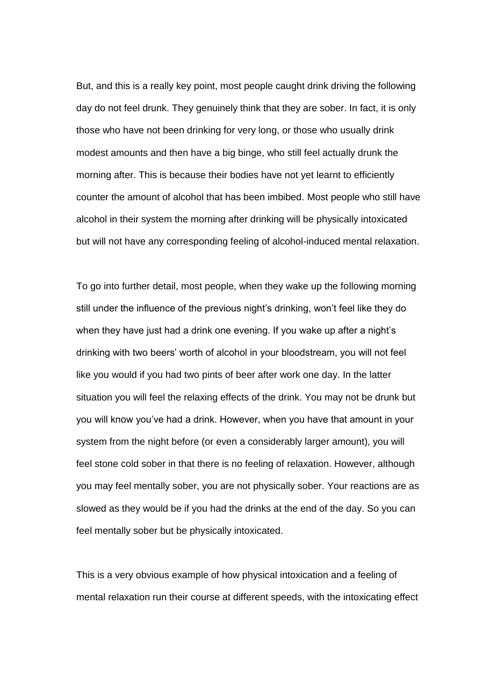But, and this is a really key point, most people caught drink driving the following day do not feel drunk. They genuinely think that they are sober. In fact, it is only those who have not been drinking for very long, or those who usually drink modest amounts and then have a big binge, who still feel actually drunk the morning after. This is because their bodies have not yet learnt to efficiently counter the amount of alcohol that has been imbibed. Most people who still have alcohol in their system the morning after drinking will be physically intoxicated but will not have any corresponding feeling of alcohol-induced mental relaxation.

To go into further detail, most people, when they wake up the following morning still under the influence of the previous night's drinking, won't feel like they do when they have just had a drink one evening. If you wake up after a night's drinking with two beers' worth of alcohol in your bloodstream, you will not feel like you would if you had two pints of beer after work one day. In the latter situation you will feel the relaxing effects of the drink. You may not be drunk but you will know you've had a drink. However, when you have that amount in your system from the night before (or even a considerably larger amount), you will feel stone cold sober in that there is no feeling of relaxation. However, although you may feel mentally sober, you are not physically sober. Your reactions are as slowed as they would be if you had the drinks at the end of the day. So you can feel mentally sober but be physically intoxicated.

This is a very obvious example of how physical intoxication and a feeling of mental relaxation run their course at different speeds, with the intoxicating effect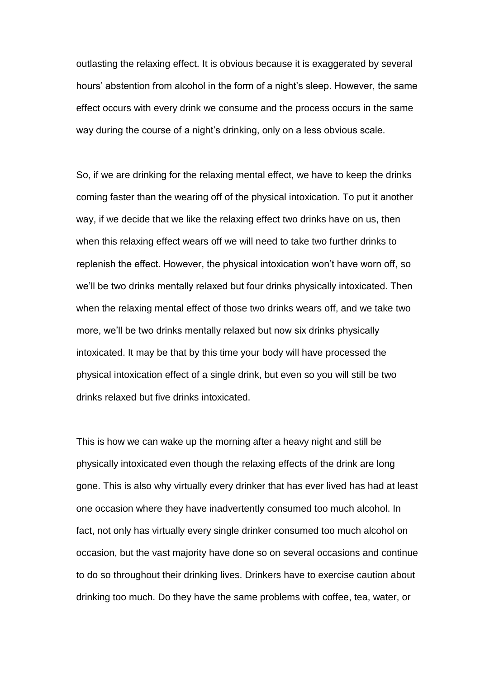outlasting the relaxing effect. It is obvious because it is exaggerated by several hours' abstention from alcohol in the form of a night's sleep. However, the same effect occurs with every drink we consume and the process occurs in the same way during the course of a night's drinking, only on a less obvious scale.

So, if we are drinking for the relaxing mental effect, we have to keep the drinks coming faster than the wearing off of the physical intoxication. To put it another way, if we decide that we like the relaxing effect two drinks have on us, then when this relaxing effect wears off we will need to take two further drinks to replenish the effect. However, the physical intoxication won't have worn off, so we'll be two drinks mentally relaxed but four drinks physically intoxicated. Then when the relaxing mental effect of those two drinks wears off, and we take two more, we'll be two drinks mentally relaxed but now six drinks physically intoxicated. It may be that by this time your body will have processed the physical intoxication effect of a single drink, but even so you will still be two drinks relaxed but five drinks intoxicated.

This is how we can wake up the morning after a heavy night and still be physically intoxicated even though the relaxing effects of the drink are long gone. This is also why virtually every drinker that has ever lived has had at least one occasion where they have inadvertently consumed too much alcohol. In fact, not only has virtually every single drinker consumed too much alcohol on occasion, but the vast majority have done so on several occasions and continue to do so throughout their drinking lives. Drinkers have to exercise caution about drinking too much. Do they have the same problems with coffee, tea, water, or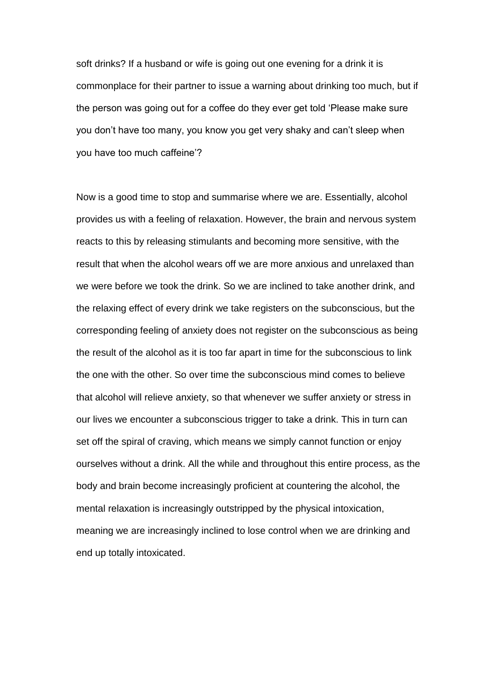soft drinks? If a husband or wife is going out one evening for a drink it is commonplace for their partner to issue a warning about drinking too much, but if the person was going out for a coffee do they ever get told 'Please make sure you don't have too many, you know you get very shaky and can't sleep when you have too much caffeine'?

Now is a good time to stop and summarise where we are. Essentially, alcohol provides us with a feeling of relaxation. However, the brain and nervous system reacts to this by releasing stimulants and becoming more sensitive, with the result that when the alcohol wears off we are more anxious and unrelaxed than we were before we took the drink. So we are inclined to take another drink, and the relaxing effect of every drink we take registers on the subconscious, but the corresponding feeling of anxiety does not register on the subconscious as being the result of the alcohol as it is too far apart in time for the subconscious to link the one with the other. So over time the subconscious mind comes to believe that alcohol will relieve anxiety, so that whenever we suffer anxiety or stress in our lives we encounter a subconscious trigger to take a drink. This in turn can set off the spiral of craving, which means we simply cannot function or enjoy ourselves without a drink. All the while and throughout this entire process, as the body and brain become increasingly proficient at countering the alcohol, the mental relaxation is increasingly outstripped by the physical intoxication, meaning we are increasingly inclined to lose control when we are drinking and end up totally intoxicated.